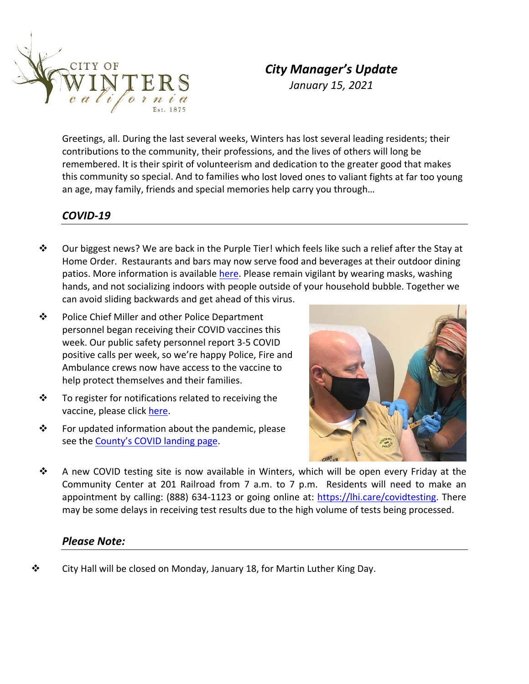

# *City Manager's Update January 15, 2021*

Greetings, all. During the last several weeks, Winters has lost several leading residents; their contributions to the community, their professions, and the lives of others will long be remembered. It is their spirit of volunteerism and dedication to the greater good that makes this community so special. And to families who lost loved ones to valiant fights at far too young an age, may family, friends and special memories help carry you through…

#### *COVID‐19*

- $\bullet$  Our biggest news? We are back in the Purple Tier! which feels like such a relief after the Stay at Home Order. Restaurants and bars may now serve food and beverages at their outdoor dining patios. More information is available [here.](https://www.yolocounty.org/home/showpublisheddocument?id=67542) Please remain vigilant by wearing masks, washing hands, and not socializing indoors with people outside of your household bubble. Together we can avoid sliding backwards and get ahead of this virus.
- ❖ Police Chief Miller and other Police Department personnel began receiving their COVID vaccines this week. Our public safety personnel report 3‐5 COVID positive calls per week, so we're happy Police, Fire and Ambulance crews now have access to the vaccine to help protect themselves and their families.
- $\mathbf{\hat{P}}$  To register for notifications related to receiving the vaccine, please click [here.](https://docs.google.com/forms/d/e/1FAIpQLSdaQDQNTMocyPmS8sM_HK7Ne03pAcreMVPR6TL7HNGixHsjNg/viewform)
- $\mathbf{\hat{P}}$  For updated information about the pandemic, please see the [County's](https://www.yolocounty.org/government/general-government-departments/health-human-services/adults/communicable-disease-investigation-and-control/novel-coronavirus-2019/dashboard) COVID landing page.



 A new COVID testing site is now available in Winters, which will be open every Friday at the Community Center at 201 Railroad from 7 a.m. to 7 p.m. Residents will need to make an appointment by calling: (888) 634‐1123 or going online at: [https://lhi.care/covidtesting.](https://lhi.care/covidtesting) There may be some delays in receiving test results due to the high volume of tests being processed.

#### *Please Note:*

 $\mathbf{\hat{P}}$  City Hall will be closed on Monday, January 18, for Martin Luther King Day.